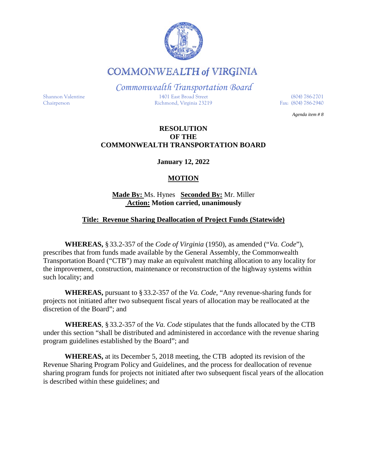

**COMMONWEALTH of VIRGINIA** 

*Commonwealth Transportation Board*

Shannon Valentine 1401 East Broad Street (804) 786-2701 Chairperson Richmond, Virginia 23219 Fax: (804) 786-2940

*Agenda item # 8*

#### **RESOLUTION OF THE COMMONWEALTH TRANSPORTATION BOARD**

**January 12, 2022**

## **MOTION**

#### **Made By:** Ms. Hynes **Seconded By:** Mr. Miller **Action: Motion carried, unanimously**

### **Title: Revenue Sharing Deallocation of Project Funds (Statewide)**

**WHEREAS,** § 33.2-357 of the *Code of Virginia* (1950), as amended ("*Va. Code*"), prescribes that from funds made available by the General Assembly, the Commonwealth Transportation Board ("CTB") may make an equivalent matching allocation to any locality for the improvement, construction, maintenance or reconstruction of the highway systems within such locality; and

**WHEREAS,** pursuant to § 33.2-357 of the *Va. Code*, "Any revenue-sharing funds for projects not initiated after two subsequent fiscal years of allocation may be reallocated at the discretion of the Board"; and

**WHEREAS**, § 33.2-357 of the *Va. Code* stipulates that the funds allocated by the CTB under this section "shall be distributed and administered in accordance with the revenue sharing program guidelines established by the Board"; and

**WHEREAS,** at its December 5, 2018 meeting, the CTB adopted its revision of the Revenue Sharing Program Policy and Guidelines, and the process for deallocation of revenue sharing program funds for projects not initiated after two subsequent fiscal years of the allocation is described within these guidelines; and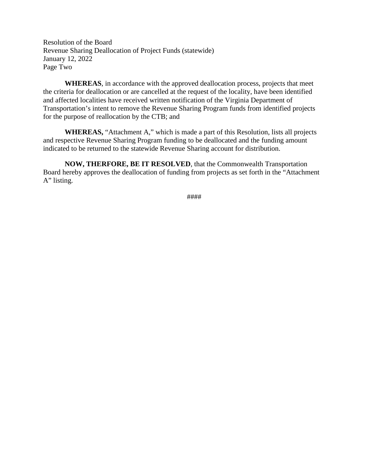Resolution of the Board Revenue Sharing Deallocation of Project Funds (statewide) January 12, 2022 Page Two

**WHEREAS**, in accordance with the approved deallocation process, projects that meet the criteria for deallocation or are cancelled at the request of the locality, have been identified and affected localities have received written notification of the Virginia Department of Transportation's intent to remove the Revenue Sharing Program funds from identified projects for the purpose of reallocation by the CTB; and

**WHEREAS,** "Attachment A," which is made a part of this Resolution, lists all projects and respective Revenue Sharing Program funding to be deallocated and the funding amount indicated to be returned to the statewide Revenue Sharing account for distribution.

**NOW, THERFORE, BE IT RESOLVED**, that the Commonwealth Transportation Board hereby approves the deallocation of funding from projects as set forth in the "Attachment A" listing.

####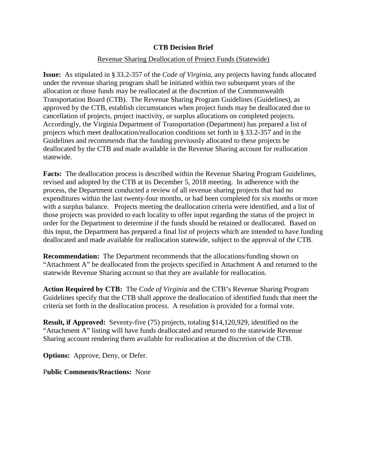#### **CTB Decision Brief**

#### Revenue Sharing Deallocation of Project Funds (Statewide)

**Issue:** As stipulated in § 33.2-357 of the *Code of Virginia*, any projects having funds allocated under the revenue sharing program shall be initiated within two subsequent years of the allocation or those funds may be reallocated at the discretion of the Commonwealth Transportation Board (CTB). The Revenue Sharing Program Guidelines (Guidelines), as approved by the CTB, establish circumstances when project funds may be deallocated due to cancellation of projects, project inactivity, or surplus allocations on completed projects. Accordingly, the Virginia Department of Transportation (Department) has prepared a list of projects which meet deallocation/reallocation conditions set forth in § 33.2-357 and in the Guidelines and recommends that the funding previously allocated to these projects be deallocated by the CTB and made available in the Revenue Sharing account for reallocation statewide.

**Facts:** The deallocation process is described within the Revenue Sharing Program Guidelines, revised and adopted by the CTB at its December 5, 2018 meeting. In adherence with the process, the Department conducted a review of all revenue sharing projects that had no expenditures within the last twenty-four months, or had been completed for six months or more with a surplus balance. Projects meeting the deallocation criteria were identified, and a list of those projects was provided to each locality to offer input regarding the status of the project in order for the Department to determine if the funds should be retained or deallocated. Based on this input, the Department has prepared a final list of projects which are intended to have funding deallocated and made available for reallocation statewide, subject to the approval of the CTB.

**Recommendation:** The Department recommends that the allocations/funding shown on "Attachment A" be deallocated from the projects specified in Attachment A and returned to the statewide Revenue Sharing account so that they are available for reallocation.

**Action Required by CTB:** The *Code of Virginia* and the CTB's Revenue Sharing Program Guidelines specify that the CTB shall approve the deallocation of identified funds that meet the criteria set forth in the deallocation process. A resolution is provided for a formal vote.

**Result, if Approved:** Seventy-five (75) projects, totaling \$14,120,929, identified on the "Attachment A" listing will have funds deallocated and returned to the statewide Revenue Sharing account rendering them available for reallocation at the discretion of the CTB.

**Options:** Approve, Deny, or Defer.

P**ublic Comments/Reactions:** None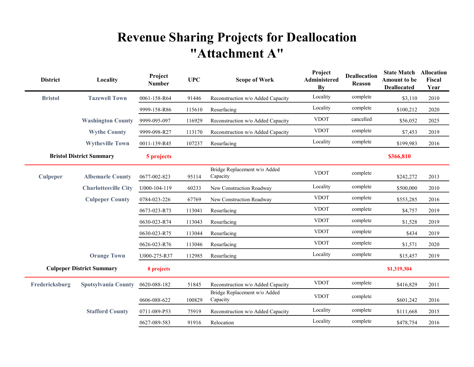# Revenue Sharing Projects for Deallocation "Attachment A"

| <b>District</b>                  | Locality                    | Project<br><b>Number</b> | <b>UPC</b> | <b>Scope of Work</b>                     | Project<br><b>Administered</b><br>By | <b>Deallocation</b><br>Reason | <b>State Match Allocation</b><br><b>Amount to be</b><br><b>Deallocated</b> | Fiscal<br>Year |
|----------------------------------|-----------------------------|--------------------------|------------|------------------------------------------|--------------------------------------|-------------------------------|----------------------------------------------------------------------------|----------------|
| <b>Bristol</b>                   | <b>Tazewell Town</b>        | 0061-158-R64             | 91446      | Reconstruction w/o Added Capacity        | Locality                             | complete                      | \$3,110                                                                    | 2010           |
|                                  |                             | 9999-158-R86             | 115610     | Resurfacing                              | Locality                             | complete                      | \$100,212                                                                  | 2020           |
|                                  | <b>Washington County</b>    | 9999-095-097             | 116929     | Reconstruction w/o Added Capacity        | <b>VDOT</b>                          | cancelled                     | \$56,052                                                                   | 2025           |
|                                  | <b>Wythe County</b>         | 9999-098-R27             | 113170     | Reconstruction w/o Added Capacity        | <b>VDOT</b>                          | complete                      | \$7,453                                                                    | 2019           |
|                                  | <b>Wytheville Town</b>      | 0011-139-R45             | 107237     | Resurfacing                              | Locality                             | complete                      | \$199,983                                                                  | 2016           |
| <b>Bristol District Summary</b>  |                             | 5 projects               |            |                                          |                                      |                               | \$366,810                                                                  |                |
| <b>Culpeper</b>                  | <b>Albemarle County</b>     | 0677-002-823             | 95114      | Bridge Replacement w/o Added<br>Capacity | <b>VDOT</b>                          | complete                      | \$242,272                                                                  | 2013           |
|                                  | <b>Charlottesville City</b> | U000-104-119             | 60233      | New Construction Roadway                 | Locality                             | complete                      | \$500,000                                                                  | 2010           |
|                                  | <b>Culpeper County</b>      | 0784-023-226             | 67769      | New Construction Roadway                 | <b>VDOT</b>                          | complete                      | \$553,285                                                                  | 2016           |
|                                  |                             | 0673-023-R73             | 113041     | Resurfacing                              | <b>VDOT</b>                          | complete                      | \$4,757                                                                    | 2019           |
|                                  |                             | 0630-023-R74             | 113043     | Resurfacing                              | <b>VDOT</b>                          | complete                      | \$1,528                                                                    | 2019           |
|                                  |                             | 0630-023-R75             | 113044     | Resurfacing                              | <b>VDOT</b>                          | complete                      | \$434                                                                      | 2019           |
|                                  |                             | 0626-023-R76             | 113046     | Resurfacing                              | <b>VDOT</b>                          | complete                      | \$1,571                                                                    | 2020           |
|                                  | <b>Orange Town</b>          | U000-275-R37             | 112985     | Resurfacing                              | Locality                             | complete                      | \$15,457                                                                   | 2019           |
| <b>Culpeper District Summary</b> |                             | 8 projects               |            |                                          |                                      |                               | \$1,319,304                                                                |                |
| Fredericksburg                   | <b>Spotsylvania County</b>  | 0620-088-182             | 51845      | Reconstruction w/o Added Capacity        | <b>VDOT</b>                          | complete                      | \$416,829                                                                  | 2011           |
|                                  |                             | 0606-088-622             | 100829     | Bridge Replacement w/o Added<br>Capacity | <b>VDOT</b>                          | complete                      | \$601,242                                                                  | 2016           |
|                                  | <b>Stafford County</b>      | 0711-089-P53             | 75919      | Reconstruction w/o Added Capacity        | Locality                             | complete                      | \$111,668                                                                  | 2015           |
|                                  |                             | 0627-089-583             | 91916      | Relocation                               | Locality                             | complete                      | \$478,754                                                                  | 2016           |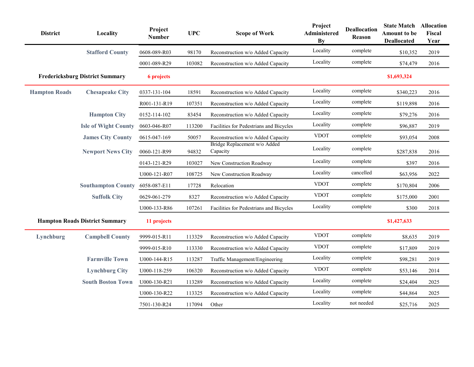| <b>District</b>                        | Locality                    | Project<br><b>Number</b> | <b>UPC</b> | <b>Scope of Work</b>                     | Project<br>Administered<br><b>By</b> | <b>Deallocation</b><br>Reason | <b>State Match Allocation</b><br>Amount to be<br><b>Deallocated</b> | Fiscal<br>Year |
|----------------------------------------|-----------------------------|--------------------------|------------|------------------------------------------|--------------------------------------|-------------------------------|---------------------------------------------------------------------|----------------|
|                                        | <b>Stafford County</b>      | 0608-089-R03             | 98170      | Reconstruction w/o Added Capacity        | Locality                             | complete                      | \$10,352                                                            | 2019           |
|                                        |                             | 0001-089-R29             | 103082     | Reconstruction w/o Added Capacity        | Locality                             | complete                      | \$74,479                                                            | 2016           |
| <b>Fredericksburg District Summary</b> |                             | <b>6</b> projects        |            |                                          |                                      |                               | \$1,693,324                                                         |                |
| <b>Hampton Roads</b>                   | <b>Chesapeake City</b>      | 0337-131-104             | 18591      | Reconstruction w/o Added Capacity        | Locality                             | complete                      | \$340,223                                                           | 2016           |
|                                        |                             | R001-131-R19             | 107351     | Reconstruction w/o Added Capacity        | Locality                             | complete                      | \$119,898                                                           | 2016           |
|                                        | <b>Hampton City</b>         | 0152-114-102             | 83454      | Reconstruction w/o Added Capacity        | Locality                             | complete                      | \$79,276                                                            | 2016           |
|                                        | <b>Isle of Wight County</b> | 0603-046-R07             | 113200     | Facilities for Pedestrians and Bicycles  | Locality                             | complete                      | \$96,887                                                            | 2019           |
|                                        | <b>James City County</b>    | 0615-047-169             | 50057      | Reconstruction w/o Added Capacity        | <b>VDOT</b>                          | complete                      | \$93,054                                                            | 2008           |
|                                        | <b>Newport News City</b>    | 0060-121-R99             | 94832      | Bridge Replacement w/o Added<br>Capacity | Locality                             | complete                      | \$287,838                                                           | 2016           |
|                                        |                             | 0143-121-R29             | 103027     | New Construction Roadway                 | Locality                             | complete                      | \$397                                                               | 2016           |
|                                        |                             | U000-121-R07             | 108725     | New Construction Roadway                 | Locality                             | cancelled                     | \$63,956                                                            | 2022           |
|                                        | <b>Southampton County</b>   | 6058-087-E11             | 17728      | Relocation                               | <b>VDOT</b>                          | complete                      | \$170,804                                                           | 2006           |
|                                        | <b>Suffolk City</b>         | 0629-061-279             | 8327       | Reconstruction w/o Added Capacity        | <b>VDOT</b>                          | complete                      | \$175,000                                                           | 2001           |
|                                        |                             | U000-133-R86             | 107261     | Facilities for Pedestrians and Bicycles  | Locality                             | complete                      | \$300                                                               | 2018           |
| <b>Hampton Roads District Summary</b>  |                             | 11 projects              |            |                                          |                                      |                               | \$1,427,633                                                         |                |
| Lynchburg                              | <b>Campbell County</b>      | 9999-015-R11             | 113329     | Reconstruction w/o Added Capacity        | <b>VDOT</b>                          | complete                      | \$8,635                                                             | 2019           |
|                                        |                             | 9999-015-R10             | 113330     | Reconstruction w/o Added Capacity        | <b>VDOT</b>                          | complete                      | \$17,809                                                            | 2019           |
|                                        | <b>Farmville Town</b>       | U000-144-R15             | 113287     | Traffic Management/Engineering           | Locality                             | complete                      | \$98,281                                                            | 2019           |
|                                        | <b>Lynchburg City</b>       | U000-118-259             | 106320     | Reconstruction w/o Added Capacity        | <b>VDOT</b>                          | complete                      | \$53,146                                                            | 2014           |
|                                        | <b>South Boston Town</b>    | U000-130-R21             | 113289     | Reconstruction w/o Added Capacity        | Locality                             | complete                      | \$24,404                                                            | 2025           |
|                                        |                             | U000-130-R22             | 113325     | Reconstruction w/o Added Capacity        | Locality                             | complete                      | \$44,864                                                            | 2025           |
|                                        |                             | 7501-130-R24             | 117094     | Other                                    | Locality                             | not needed                    | \$25,716                                                            | 2025           |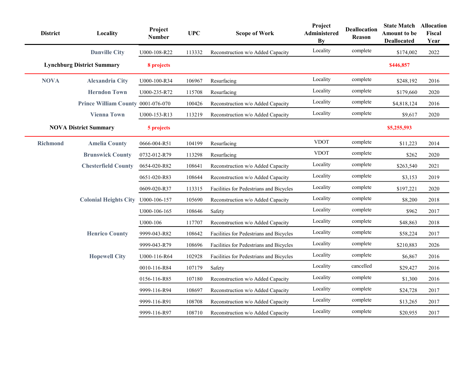| <b>District</b> | Locality                           | Project<br><b>Number</b> | <b>UPC</b> | <b>Scope of Work</b>                    | Project<br>Administered<br>By | <b>Deallocation</b><br>Reason | <b>State Match</b><br><b>Amount to be</b><br><b>Deallocated</b> | Allocation<br>Fiscal<br>Year |
|-----------------|------------------------------------|--------------------------|------------|-----------------------------------------|-------------------------------|-------------------------------|-----------------------------------------------------------------|------------------------------|
|                 | <b>Danville City</b>               | U000-108-R22             | 113332     | Reconstruction w/o Added Capacity       | Locality                      | complete                      | \$174,002                                                       | 2022                         |
|                 | <b>Lynchburg District Summary</b>  |                          |            |                                         |                               |                               | \$446,857                                                       |                              |
| <b>NOVA</b>     | <b>Alexandria City</b>             | U000-100-R34             | 106967     | Resurfacing                             | Locality                      | complete                      | \$248,192                                                       | 2016                         |
|                 | <b>Herndon Town</b>                | U000-235-R72             | 115708     | Resurfacing                             | Locality                      | complete                      | \$179,660                                                       | 2020                         |
|                 | Prince William County 0001-076-070 |                          | 100426     | Reconstruction w/o Added Capacity       | Locality                      | complete                      | \$4,818,124                                                     | 2016                         |
|                 | <b>Vienna Town</b>                 | U000-153-R13             | 113219     | Reconstruction w/o Added Capacity       | Locality                      | complete                      | \$9,617                                                         | 2020                         |
|                 | <b>NOVA District Summary</b>       | 5 projects               |            |                                         |                               |                               | \$5,255,593                                                     |                              |
| <b>Richmond</b> | <b>Amelia County</b>               | 0666-004-R51             | 104199     | Resurfacing                             | <b>VDOT</b>                   | complete                      | \$11,223                                                        | 2014                         |
|                 | <b>Brunswick County</b>            | 0732-012-R79             | 113298     | Resurfacing                             | <b>VDOT</b>                   | complete                      | \$262                                                           | 2020                         |
|                 | <b>Chesterfield County</b>         | 0654-020-R82             | 108641     | Reconstruction w/o Added Capacity       | Locality                      | complete                      | \$263,540                                                       | 2021                         |
|                 |                                    | 0651-020-R83             | 108644     | Reconstruction w/o Added Capacity       | Locality                      | complete                      | \$3,153                                                         | 2019                         |
|                 |                                    | 0609-020-R37             | 113315     | Facilities for Pedestrians and Bicycles | Locality                      | complete                      | \$197,221                                                       | 2020                         |
|                 | <b>Colonial Heights City</b>       | U000-106-157             | 105690     | Reconstruction w/o Added Capacity       | Locality                      | complete                      | \$8,200                                                         | 2018                         |
|                 |                                    | U000-106-165             | 108646     | Safety                                  | Locality                      | complete                      | \$962                                                           | 2017                         |
|                 |                                    | U000-106                 | 117707     | Reconstruction w/o Added Capacity       | Locality                      | complete                      | \$48,863                                                        | 2018                         |
|                 | <b>Henrico County</b>              | 9999-043-R82             | 108642     | Facilities for Pedestrians and Bicycles | Locality                      | complete                      | \$58,224                                                        | 2017                         |
|                 |                                    | 9999-043-R79             | 108696     | Facilities for Pedestrians and Bicycles | Locality                      | complete                      | \$210,883                                                       | 2026                         |
|                 | <b>Hopewell City</b>               | U000-116-R64             | 102928     | Facilities for Pedestrians and Bicycles | Locality                      | complete                      | \$6,867                                                         | 2016                         |
|                 |                                    | 0010-116-R84             | 107179     | Safety                                  | Locality                      | cancelled                     | \$29,427                                                        | 2016                         |
|                 |                                    | 0156-116-R85             | 107180     | Reconstruction w/o Added Capacity       | Locality                      | complete                      | \$1,300                                                         | 2016                         |
|                 |                                    | 9999-116-R94             | 108697     | Reconstruction w/o Added Capacity       | Locality                      | complete                      | \$24,728                                                        | 2017                         |
|                 |                                    | 9999-116-R91             | 108708     | Reconstruction w/o Added Capacity       | Locality                      | complete                      | \$13,265                                                        | 2017                         |
|                 |                                    | 9999-116-R97             | 108710     | Reconstruction w/o Added Capacity       | Locality                      | complete                      | \$20,955                                                        | 2017                         |